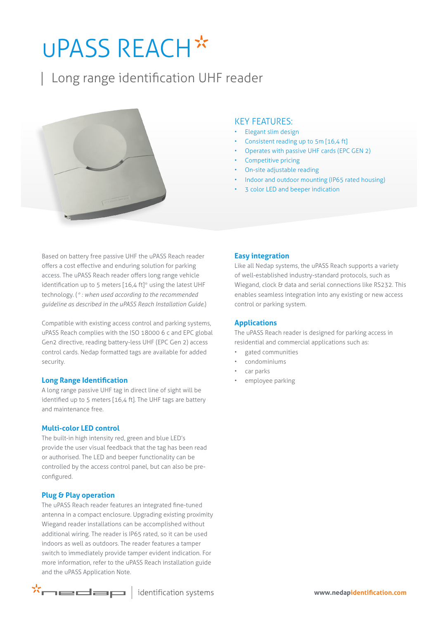# UPASS REACH\*

### | Long range identification UHF reader



#### KEY FEATURES:

- Elegant slim design
- Consistent reading up to 5m [16,4 ft]
- Operates with passive UHF cards (EPC GEN 2)
- Competitive pricing
- On-site adjustable reading
- Indoor and outdoor mounting (IP65 rated housing)
- 3 color LED and beeper indication

Based on battery free passive UHF the uPASS Reach reader offers a cost effective and enduring solution for parking access. The uPASS Reach reader offers long range vehicle identification up to 5 meters [16,4 ft]\* using the latest UHF technology. (*\* : when used according to the recommended guideline as described in the uPASS Reach Installation Guide.*)

Compatible with existing access control and parking systems, uPASS Reach complies with the ISO 18000 6 c and EPC global Gen2 directive, reading battery-less UHF (EPC Gen 2) access control cards. Nedap formatted tags are available for added security.

#### **Long Range Identification**

A long range passive UHF tag in direct line of sight will be identified up to 5 meters [16,4 ft]. The UHF tags are battery and maintenance free.

#### **Multi-color LED control**

The built-in high intensity red, green and blue LED's provide the user visual feedback that the tag has been read or authorised. The LED and beeper functionality can be controlled by the access control panel, but can also be preconfigured.

#### **Plug & Play operation**

The uPASS Reach reader features an integrated fine-tuned antenna in a compact enclosure. Upgrading existing proximity Wiegand reader installations can be accomplished without additional wiring. The reader is IP65 rated, so it can be used indoors as well as outdoors. The reader features a tamper switch to immediately provide tamper evident indication. For more information, refer to the uPASS Reach installation guide and the uPASS Application Note.

### $\mathbf{X} \longmapsto \mathbf{X}$

#### **Easy integration**

Like all Nedap systems, the uPASS Reach supports a variety of well-established industry-standard protocols, such as Wiegand, clock & data and serial connections like RS232. This enables seamless integration into any existing or new access control or parking system.

#### **Applications**

The uPASS Reach reader is designed for parking access in residential and commercial applications such as:

- gated communities
- condominiums
- car parks
- employee parking